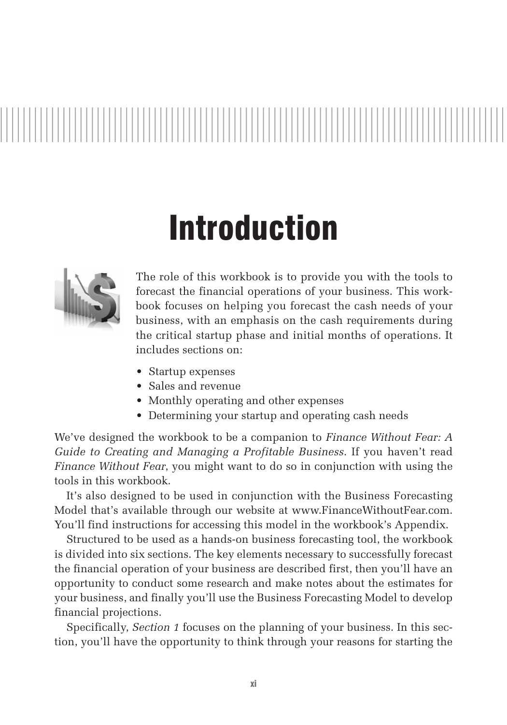

## Introduction



The role of this workbook is to provide you with the tools to forecast the financial operations of your business. This workbook focuses on helping you forecast the cash needs of your business, with an emphasis on the cash requirements during the critical startup phase and initial months of operations. It includes sections on:

- Startup expenses
- Sales and revenue
- Monthly operating and other expenses
- Determining your startup and operating cash needs

We've designed the workbook to be a companion to *Finance Without Fear: A Guide to Creating and Managing a Profitable Business*. If you haven't read *Finance Without Fear*, you might want to do so in conjunction with using the tools in this workbook.

It's also designed to be used in conjunction with the Business Forecasting Model that's available through our website at www.FinanceWithoutFear.com. You'll find instructions for accessing this model in the workbook's Appendix.

Structured to be used as a hands-on business forecasting tool, the workbook is divided into six sections. The key elements necessary to successfully forecast the financial operation of your business are described first, then you'll have an opportunity to conduct some research and make notes about the estimates for your business, and finally you'll use the Business Forecasting Model to develop financial projections.

Specifically, *Section 1* focuses on the planning of your business. In this section, you'll have the opportunity to think through your reasons for starting the